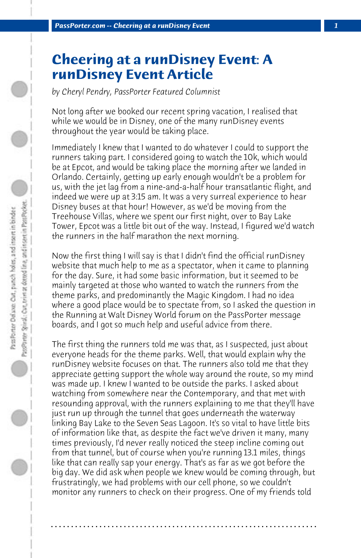## **Cheering at a runDisney Event: A runDisney Event Article**

*by Cheryl Pendry, PassPorter Featured Columnist*

Not long after we booked our recent spring vacation, I realised that while we would be in Disney, one of the many runDisney events throughout the year would be taking place.

Immediately I knew that I wanted to do whatever I could to support the runners taking part. I considered going to watch the 10k, which would be at Epcot, and would be taking place the morning after we landed in Orlando. Certainly, getting up early enough wouldn't be a problem for us, with the jet lag from a nine-and-a-half hour transatlantic flight, and indeed we were up at 3:15 am. It was a very surreal experience to hear Disney buses at that hour! However, as we'd be moving from the Treehouse Villas, where we spent our first night, over to Bay Lake Tower, Epcot was a little bit out of the way. Instead, I figured we'd watch the runners in the half marathon the next morning.

Now the first thing I will say is that I didn't find the official runDisney website that much help to me as a spectator, when it came to planning for the day. Sure, it had some basic information, but it seemed to be mainly targeted at those who wanted to watch the runners from the theme parks, and predominantly the Magic Kingdom. I had no idea where a good place would be to spectate from, so I asked the question in the Running at Walt Disney World forum on the PassPorter message boards, and I got so much help and useful advice from there.

The first thing the runners told me was that, as I suspected, just about everyone heads for the theme parks. Well, that would explain why the runDisney website focuses on that. The runners also told me that they appreciate getting support the whole way around the route, so my mind was made up. I knew I wanted to be outside the parks. I asked about watching from somewhere near the Contemporary, and that met with resounding approval, with the runners explaining to me that they'll have just run up through the tunnel that goes underneath the waterway linking Bay Lake to the Seven Seas Lagoon. It's so vital to have little bits of information like that, as despite the fact we've driven it many, many times previously, I'd never really noticed the steep incline coming out from that tunnel, but of course when you're running 13.1 miles, things like that can really sap your energy. That's as far as we got before the big day. We did ask when people we knew would be coming through, but frustratingly, we had problems with our cell phone, so we couldn't monitor any runners to check on their progress. One of my friends told

**. . . . . . . . . . . . . . . . . . . . . . . . . . . . . . . . . . . . . . . . . . . . . . . . . . . . . . . . . . . . . . . . . .**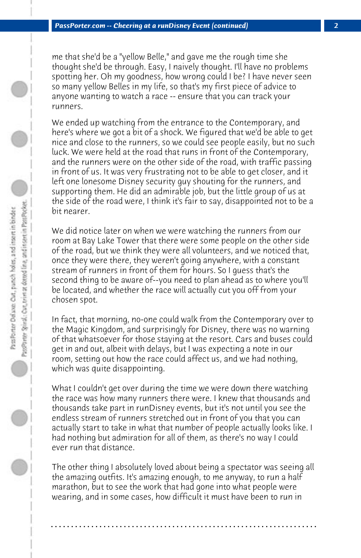me that she'd be a "yellow Belle," and gave me the rough time she thought she'd be through. Easy, I naively thought. I'll have no problems spotting her. Oh my goodness, how wrong could I be? I have never seen so many yellow Belles in my life, so that's my first piece of advice to anyone wanting to watch a race -- ensure that you can track your runners.

We ended up watching from the entrance to the Contemporary, and here's where we got a bit of a shock. We figured that we'd be able to get nice and close to the runners, so we could see people easily, but no such luck. We were held at the road that runs in front of the Contemporary, and the runners were on the other side of the road, with traffic passing in front of us. It was very frustrating not to be able to get closer, and it left one lonesome Disney security guy shouting for the runners, and supporting them. He did an admirable job, but the little group of us at the side of the road were, I think it's fair to say, disappointed not to be a bit nearer.

We did notice later on when we were watching the runners from our room at Bay Lake Tower that there were some people on the other side of the road, but we think they were all volunteers, and we noticed that, once they were there, they weren't going anywhere, with a constant stream of runners in front of them for hours. So I guess that's the second thing to be aware of--you need to plan ahead as to where you'll be located, and whether the race will actually cut you off from your chosen spot.

In fact, that morning, no-one could walk from the Contemporary over to the Magic Kingdom, and surprisingly for Disney, there was no warning of that whatsoever for those staying at the resort. Cars and buses could get in and out, albeit with delays, but I was expecting a note in our room, setting out how the race could affect us, and we had nothing, which was quite disappointing.

What I couldn't get over during the time we were down there watching the race was how many runners there were. I knew that thousands and thousands take part in runDisney events, but it's not until you see the endless stream of runners stretched out in front of you that you can actually start to take in what that number of people actually looks like. I had nothing but admiration for all of them, as there's no way I could ever run that distance.

The other thing I absolutely loved about being a spectator was seeing all the amazing outfits. It's amazing enough, to me anyway, to run a half marathon, but to see the work that had gone into what people were wearing, and in some cases, how difficult it must have been to run in

**. . . . . . . . . . . . . . . . . . . . . . . . . . . . . . . . . . . . . . . . . . . . . . . . . . . . . . . . . . . . . . . . . .**